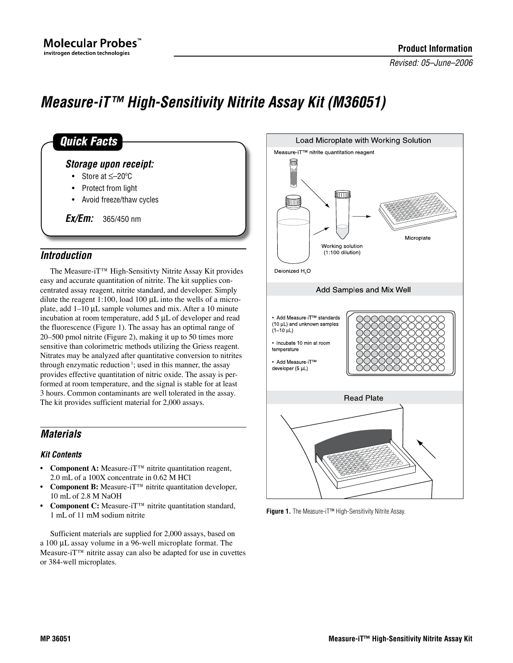*Revised: 05–June–2006*

# *Measure-iT™ High-Sensitivity Nitrite Assay Kit (M36051)*

| Storage upon receipt:                  |  |
|----------------------------------------|--|
| • Store at $\leq -20$ °C               |  |
| • Protect from light                   |  |
| • Avoid freeze/thaw cycles             |  |
| $\mathit{Ex}/\mathit{Em}$ : 365/450 nm |  |

# *Introduction*

The Measure-iT™ High-Sensitivty Nitrite Assay Kit provides easy and accurate quantitation of nitrite. The kit supplies concentrated assay reagent, nitrite standard, and developer. Simply dilute the reagent 1:100, load 100  $\mu$ L into the wells of a microplate, add  $1-10 \mu L$  sample volumes and mix. After a 10 minute incubation at room temperature, add  $5 \mu L$  of developer and read the fluorescence (Figure 1). The assay has an optimal range of 20–500 pmol nitrite (Figure 2), making it up to 50 times more sensitive than colorimetric methods utilizing the Griess reagent. Nitrates may be analyzed after quantitative conversion to nitrites through enzymatic reduction<sup>1</sup>; used in this manner, the assay provides effective quantitation of nitric oxide. The assay is performed at room temperature, and the signal is stable for at least 3 hours. Common contaminants are well tolerated in the assay. The kit provides sufficient material for 2,000 assays.

# *Materials*

### *Kit Contents*

- **• Component A:** Measure-iT™ nitrite quantitation reagent, 2.0 mL of a 100X concentrate in 0.62 M HCl
- **• Component B:** Measure-iT™ nitrite quantitation developer, 10 mL of 2.8 M NaOH
- **Component C:** Measure-iT™ nitrite quantitation standard, 1 mL of 11 mM sodium nitrite

Sufficient materials are supplied for 2,000 assays, based on a 100 µL assay volume in a 96-well microplate format. The Measure-iT™ nitrite assay can also be adapted for use in cuvettes or 384-well microplates.



**Figure 1.** The Measure-iT™ High-Sensitivity Nitrite Assay.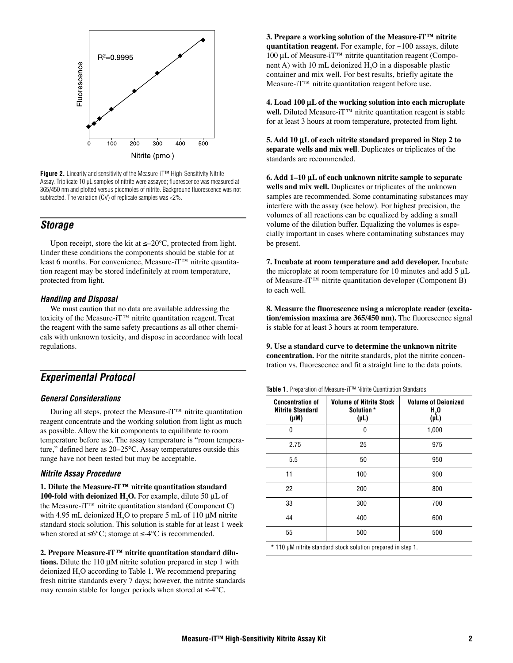

**Figure 2.** Linearity and sensitivity of the Measure-iT™ High-Sensitivity Nitrite Assay. Triplicate 10 µL samples of nitrite were assayed; fluorescence was measured at 365/450 nm and plotted versus picomoles of nitrite. Background fluorescence was not subtracted. The variation (CV) of replicate samples was <2%.

### *Storage*

Upon receipt, store the kit at  $\leq -20^{\circ}$ C, protected from light. Under these conditions the components should be stable for at least 6 months. For convenience, Measure-iT™ nitrite quantitation reagent may be stored indefinitely at room temperature, protected from light.

### *Handling and Disposal*

We must caution that no data are available addressing the toxicity of the Measure-iT™ nitrite quantitation reagent. Treat the reagent with the same safety precautions as all other chemicals with unknown toxicity, and dispose in accordance with local regulations.

# *Experimental Protocol*

### *General Considerations*

During all steps, protect the Measure-iT™ nitrite quantitation reagent concentrate and the working solution from light as much as possible. Allow the kit components to equilibrate to room temperature before use. The assay temperature is "room temperature," defined here as 20–25°C. Assay temperatures outside this range have not been tested but may be acceptable.

### *Nitrite Assay Procedure*

**1. Dilute the Measure-iT™ nitrite quantitation standard 100-fold with deionized H<sub>2</sub>O.** For example, dilute 50 µL of the Measure-i $T^{\text{TM}}$  nitrite quantitation standard (Component C) with 4.95 mL deionized  $H_2O$  to prepare 5 mL of 110  $\mu$ M nitrite standard stock solution. This solution is stable for at least 1 week when stored at  $\leq 6^{\circ}$ C; storage at  $\leq -4^{\circ}$ C is recommended.

**2. Prepare Measure-iT™ nitrite quantitation standard dilu**tions. Dilute the 110  $\mu$ M nitrite solution prepared in step 1 with deionized  $H_2O$  according to Table 1. We recommend preparing fresh nitrite standards every 7 days; however, the nitrite standards may remain stable for longer periods when stored at ≤-4°C.

**3. Prepare a working solution of the Measure-iT™ nitrite quantitation reagent.** For example, for ~100 assays, dilute 100 µL of Measure-iT<sup>™</sup> nitrite quantitation reagent (Component A) with 10 mL deionized  $H_2O$  in a disposable plastic container and mix well. For best results, briefly agitate the Measure-iT™ nitrite quantitation reagent before use.

**4. Load 100** m**L of the working solution into each microplate well.** Diluted Measure-iT™ nitrite quantitation reagent is stable for at least 3 hours at room temperature, protected from light.

**5. Add 10** m**L of each nitrite standard prepared in Step 2 to separate wells and mix well**. Duplicates or triplicates of the standards are recommended.

**6. Add 1–10** m**L of each unknown nitrite sample to separate wells and mix well.** Duplicates or triplicates of the unknown samples are recommended. Some contaminating substances may interfere with the assay (see below). For highest precision, the volumes of all reactions can be equalized by adding a small volume of the dilution buffer. Equalizing the volumes is especially important in cases where contaminating substances may be present.

**7. Incubate at room temperature and add developer.** Incubate the microplate at room temperature for 10 minutes and add  $5 \mu L$ of Measure-iT™ nitrite quantitation developer (Component B) to each well.

**8. Measure the fluorescence using a microplate reader (excitation/emission maxima are 365/450 nm).** The fluorescence signal is stable for at least 3 hours at room temperature.

**9. Use a standard curve to determine the unknown nitrite concentration.** For the nitrite standards, plot the nitrite concentration vs. fluorescence and fit a straight line to the data points.

| Table 1. Preparation of Measure-iT <sup>™</sup> Nitrite Quantitation Standards. |  |
|---------------------------------------------------------------------------------|--|
|---------------------------------------------------------------------------------|--|

| <b>Concentration of</b><br><b>Nitrite Standard</b><br>$(\mu M)$ | <b>Volume of Nitrite Stock</b><br>Solution *<br>$(\mu L)$ | <b>Volume of Deionized</b><br>$H2$ 0<br>(IL) |
|-----------------------------------------------------------------|-----------------------------------------------------------|----------------------------------------------|
| 0                                                               | 0                                                         | 1,000                                        |
| 2.75                                                            | 25                                                        | 975                                          |
| 5.5                                                             | 50                                                        | 950                                          |
| 11                                                              | 100                                                       | 900                                          |
| 22                                                              | 200                                                       | 800                                          |
| 33                                                              | 300                                                       | 700                                          |
| 44                                                              | 400                                                       | 600                                          |
| 55                                                              | 500                                                       | 500                                          |

**\*** 110 µM nitrite standard stock solution prepared in step 1.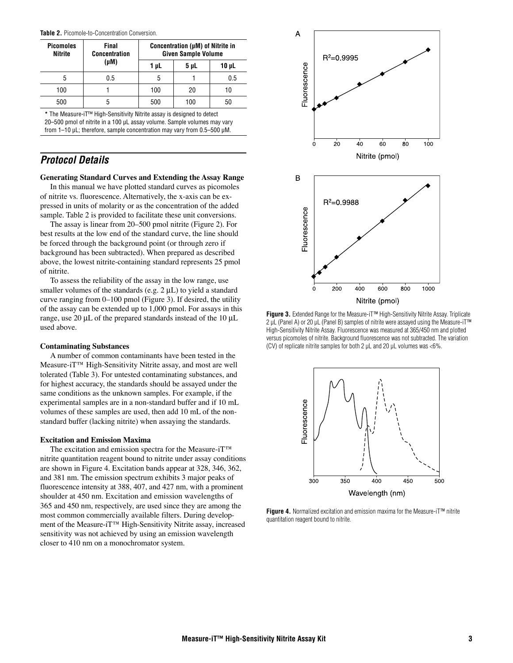|  |  |  |  | <b>Table 2.</b> Picomole-to-Concentration Conversion. |
|--|--|--|--|-------------------------------------------------------|
|--|--|--|--|-------------------------------------------------------|

| <b>Picomoles</b><br>Nitrite | Final<br><b>Concentration</b> | Concentration (µM) of Nitrite in<br><b>Given Sample Volume</b> |      |            |
|-----------------------------|-------------------------------|----------------------------------------------------------------|------|------------|
|                             | $(\mu M)$                     | 1 µL                                                           | 5 µL | $10 \mu L$ |
| 5                           | 0.5                           | 5                                                              |      | 0.5        |
| 100                         |                               | 100                                                            | 20   | 10         |
| 500                         | 5                             | 500                                                            | 100  | 50         |
|                             |                               |                                                                |      |            |

**\*** The Measure-iT™ High-Sensitivity Nitrite assay is designed to detect 20–500 pmol of nitrite in a 100 uL assay volume. Sample volumes may vary from 1–10 µL; therefore, sample concentration may vary from 0.5–500 µM.

### *Protocol Details*

#### **Generating Standard Curves and Extending the Assay Range**

In this manual we have plotted standard curves as picomoles of nitrite vs. fluorescence. Alternatively, the x-axis can be expressed in units of molarity or as the concentration of the added sample. Table 2 is provided to facilitate these unit conversions.

The assay is linear from 20–500 pmol nitrite (Figure 2). For best results at the low end of the standard curve, the line should be forced through the background point (or through zero if background has been subtracted). When prepared as described above, the lowest nitrite-containing standard represents 25 pmol of nitrite.

To assess the reliability of the assay in the low range, use smaller volumes of the standards (e.g.  $2 \mu L$ ) to yield a standard curve ranging from 0–100 pmol (Figure 3). If desired, the utility of the assay can be extended up to 1,000 pmol. For assays in this range, use 20  $\mu$ L of the prepared standards instead of the 10  $\mu$ L used above.

#### **Contaminating Substances**

A number of common contaminants have been tested in the Measure-iT™ High-Sensitivity Nitrite assay, and most are well tolerated (Table 3). For untested contaminating substances, and for highest accuracy, the standards should be assayed under the same conditions as the unknown samples. For example, if the experimental samples are in a non-standard buffer and if 10 mL volumes of these samples are used, then add 10 mL of the nonstandard buffer (lacking nitrite) when assaying the standards.

#### **Excitation and Emission Maxima**

The excitation and emission spectra for the Measure-iT™ nitrite quantitation reagent bound to nitrite under assay conditions are shown in Figure 4. Excitation bands appear at 328, 346, 362, and 381 nm. The emission spectrum exhibits 3 major peaks of fluorescence intensity at 388, 407, and 427 nm, with a prominent shoulder at 450 nm. Excitation and emission wavelengths of 365 and 450 nm, respectively, are used since they are among the most common commercially available filters. During development of the Measure-iT™ High-Sensitivity Nitrite assay, increased sensitivity was not achieved by using an emission wavelength closer to 410 nm on a monochromator system.



**Figure 3.** Extended Range for the Measure-iT™ High-Sensitivity Nitrite Assay. Triplicate 2 µL (Panel A) or 20 µL (Panel B) samples of nitrite were assayed using the Measure-iT<sup>™</sup> High-Sensitivity Nitrite Assay. Fluorescence was measured at 365/450 nm and plotted versus picomoles of nitrite. Background fluorescence was not subtracted. The variation (CV) of replicate nitrite samples for both 2  $\mu$ L and 20  $\mu$ L volumes was <6%.



**Figure 4.** Normalized excitation and emission maxima for the Measure-iT™ nitrite quantitation reagent bound to nitrite.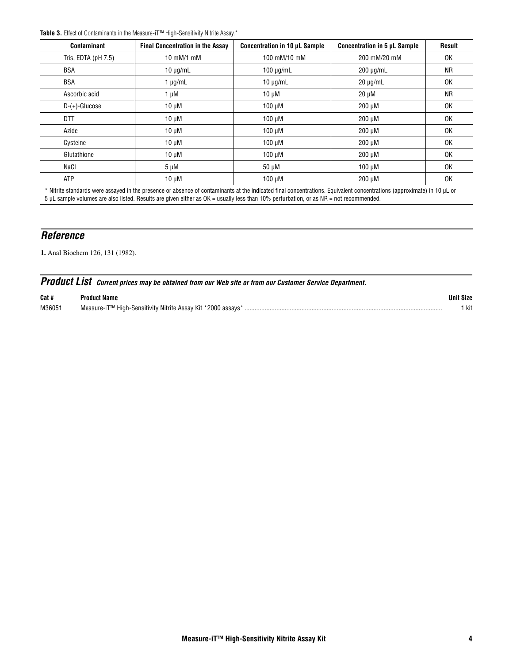**Table 3.** Effect of Contaminants in the Measure-iT™ High-Sensitivity Nitrite Assay.\*

| <b>Contaminant</b>     | <b>Final Concentration in the Assay</b> | Concentration in 10 µL Sample | <b>Concentration in 5 µL Sample</b> | <b>Result</b> |
|------------------------|-----------------------------------------|-------------------------------|-------------------------------------|---------------|
| Tris, EDTA ( $pH$ 7.5) | 10 mM/1 mM                              | 100 mM/10 mM                  | 200 mM/20 mM                        | 0K            |
| <b>BSA</b>             | $10 \mu g/mL$                           | $100 \mu q/mL$                | $200 \mu g/mL$                      | <b>NR</b>     |
| <b>BSA</b>             | $1 \mu g/mL$                            | $10 \mu q/mL$                 | $20 \mu q/mL$                       | 0K            |
| Ascorbic acid          | 1 µM                                    | $10 \mu M$                    | $20 \mu M$                          | <b>NR</b>     |
| $D-(+)$ -Glucose       | $10 \mu M$                              | $100 \mu M$                   | 200 µM                              | 0K            |
| DTT                    | $10 \mu M$                              | $100 \mu M$                   | 200 µM                              | 0K            |
| Azide                  | $10 \mu M$                              | $100 \mu M$                   | 200 µM                              | 0K            |
| Cysteine               | $10 \mu M$                              | $100 \mu M$                   | 200 µM                              | 0K            |
| Glutathione            | $10 \mu M$                              | $100 \mu M$                   | 200 µM                              | 0K            |
| NaCl                   | $5 \mu M$                               | 50 µM                         | $100 \mu M$                         | 0K            |
| ATP                    | $10 \mu M$                              | $100 \mu M$                   | 200 µM                              | 0K            |

\* Nitrite standards were assayed in the presence or absence of contaminants at the indicated final concentrations. Equivalent concentrations (approximate) in 10 µL or 5 µL sample volumes are also listed. Results are given either as OK = usually less than 10% perturbation, or as NR = not recommended.

# *Reference*

**1.** Anal Biochem 126, 131 (1982).

|       | <b>Product List</b> Current prices may be obtained from our Web site or from our Customer Service Department. |                  |
|-------|---------------------------------------------------------------------------------------------------------------|------------------|
| Cat # | Product Name                                                                                                  | <b>Unit Size</b> |

| M3605 | anH<br>ΚIJ<br>יווהו<br>,,,,,<br>. | <b>LAP</b><br>-nu |  |
|-------|-----------------------------------|-------------------|--|
|-------|-----------------------------------|-------------------|--|